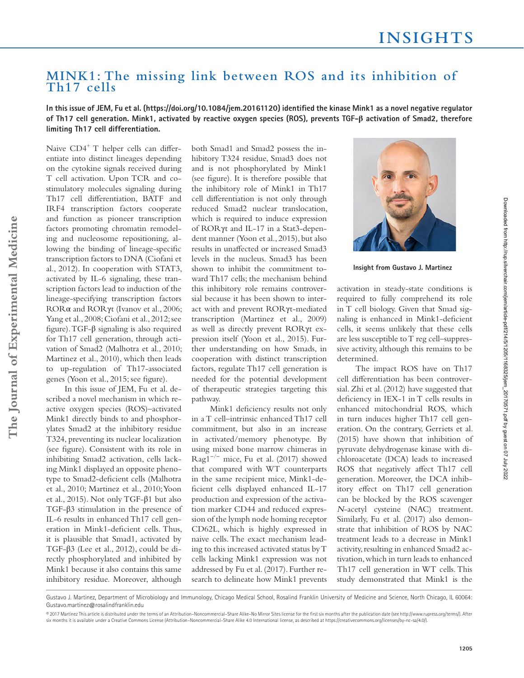## **MINK1: The missing link between ROS and its inhibition of Th17 cells**

In this issue of JEM, Fu et al. (https://doi.org/10.1084/jem.20161120) identified the kinase Mink1 as a novel negative regulator **of Th17 cell generation. Mink1, activated by reactive oxygen species (ROS), prevents TGF-β activation of Smad2, therefore limiting Th17 cell differentiation.**

Naive  $CD4^+$  T helper cells can differentiate into distinct lineages depending on the cytokine signals received during T cell activation. Upon TCR and costimulatory molecules signaling during Th17 cell differentiation, BATF and IRF4 transcription factors cooperate and function as pioneer transcription factors promoting chromatin remodeling and nucleosome repositioning, allowing the binding of lineage-specific transcription factors to DNA (Ciofani et al., 2012). In cooperation with STAT3, activated by IL-6 signaling, these transcription factors lead to induction of the lineage-specifying transcription factors RORα and RORγt (Ivanov et al., 2006; Yang et al., 2008; Ciofani et al., 2012; see figure). TGF- $\beta$  signaling is also required for Th17 cell generation, through activation of Smad2 (Malhotra et al., 2010; Martinez et al., 2010), which then leads to up-regulation of Th17-associated genes (Yoon et al., 2015; see figure).

In this issue of JEM, Fu et al. described a novel mechanism in which reactive oxygen species (ROS)–activated Mink1 directly binds to and phosphorylates Smad2 at the inhibitory residue T324, preventing its nuclear localization (see figure). Consistent with its role in inhibiting Smad2 activation, cells lacking Mink1 displayed an opposite phenotype to Smad2-deficient cells (Malhotra et al., 2010; Martinez et al., 2010; Yoon et al., 2015). Not only TGF-β1 but also TGF-β3 stimulation in the presence of IL-6 results in enhanced Th17 cell generation in Mink1-deficient cells. Thus, it is plausible that Smad1, activated by TGF-β3 (Lee et al., 2012), could be directly phosphorylated and inhibited by Mink1 because it also contains this same inhibitory residue. Moreover, although

both Smad1 and Smad2 possess the inhibitory T324 residue, Smad3 does not and is not phosphorylated by Mink1 (see figure). It is therefore possible that the inhibitory role of Mink1 in Th17 cell differentiation is not only through reduced Smad2 nuclear translocation, which is required to induce expression of RORγt and IL-17 in a Stat3-dependent manner (Yoon et al., 2015), but also results in unaffected or increased Smad3 levels in the nucleus. Smad3 has been shown to inhibit the commitment toward Th17 cells; the mechanism behind this inhibitory role remains controversial because it has been shown to interact with and prevent RORγt-mediated transcription (Martinez et al., 2009) as well as directly prevent RORγt expression itself (Yoon et al., 2015). Further understanding on how Smads, in cooperation with distinct transcription factors, regulate Th17 cell generation is needed for the potential development of therapeutic strategies targeting this pathway.

Mink1 deficiency results not only in a T cell–intrinsic enhanced Th17 cell commitment, but also in an increase in activated/memory phenotype. By using mixed bone marrow chimeras in Rag1<sup>-/-</sup> mice, Fu et al. (2017) showed that compared with WT counterparts in the same recipient mice, Mink1-deficient cells displayed enhanced IL-17 production and expression of the activation marker CD44 and reduced expression of the lymph node homing receptor CD62L, which is highly expressed in naive cells. The exact mechanism leading to this increased activated status by T cells lacking Mink1 expression was not addressed by Fu et al. (2017). Further research to delineate how Mink1 prevents



**Insight from Gustavo J. Martinez**

activation in steady-state conditions is required to fully comprehend its role in T cell biology. Given that Smad signaling is enhanced in Mink1-deficient cells, it seems unlikely that these cells are less susceptible to T reg cell–suppressive activity, although this remains to be determined.

The impact ROS have on Th17 cell differentiation has been controversial. Zhi et al. (2012) have suggested that deficiency in IEX-1 in T cells results in enhanced mitochondrial ROS, which in turn induces higher Th17 cell generation. On the contrary, Gerriets et al. (2015) have shown that inhibition of pyruvate dehydrogenase kinase with dichloroacetate (DCA) leads to increased ROS that negatively affect Th17 cell generation. Moreover, the DCA inhibitory effect on Th17 cell generation can be blocked by the ROS scavenger <sup>N</sup>-acetyl cysteine (NAC) treatment. Similarly, Fu et al. (2017) also demonstrate that inhibition of ROS by NAC treatment leads to a decrease in Mink1 activity, resulting in enhanced Smad2 activation, which in turn leads to enhanced Th17 cell generation in WT cells. This study demonstrated that Mink1 is the

 Gustavo J. Martinez, Department of Microbiology and Immunology, Chicago Medical School, Rosalind Franklin University of Medicine and Science, North Chicago, IL 60064: Gustavo.martinez@rosalindfranklin.edu

Downloaded from http://rup.silverchair.com/jem/article-pdf/214/5/110531168325/jem\_20170571.pdf by guest on 07 July 2022 Downloaded from http://rup.silverchair.com/jem/article-pdf/214/5/1205/1168325/jem\_20170571.pdf by guest on 07 July 2022

<sup>© 2017</sup> Martinez This article is distributed under the terms of an Attribution-Noncommercial-Share Alike-No Mirror Sites license for the first six months after the publication date (see http://www.rupress.org/terms/). After six months it is available under a Creative Commons License (Attribution–Noncommercial–Share Alike 4.0 International license, as described at https://creativecommons.org/licenses/by-nc-sa/4.0/).